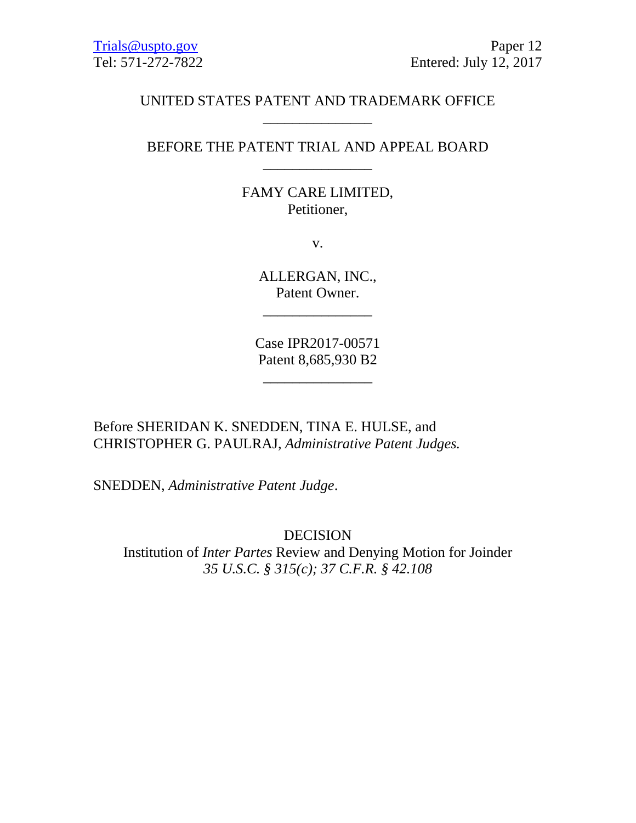# UNITED STATES PATENT AND TRADEMARK OFFICE \_\_\_\_\_\_\_\_\_\_\_\_\_\_\_

BEFORE THE PATENT TRIAL AND APPEAL BOARD \_\_\_\_\_\_\_\_\_\_\_\_\_\_\_

# FAMY CARE LIMITED, Petitioner,

v.

ALLERGAN, INC., Patent Owner.

\_\_\_\_\_\_\_\_\_\_\_\_\_\_\_

Case IPR2017-00571 Patent 8,685,930 B2

\_\_\_\_\_\_\_\_\_\_\_\_\_\_\_

Before SHERIDAN K. SNEDDEN, TINA E. HULSE, and CHRISTOPHER G. PAULRAJ, *Administrative Patent Judges.* 

SNEDDEN, *Administrative Patent Judge*.

DECISION Institution of *Inter Partes* Review and Denying Motion for Joinder *35 U.S.C. § 315(c); 37 C.F.R. § 42.108*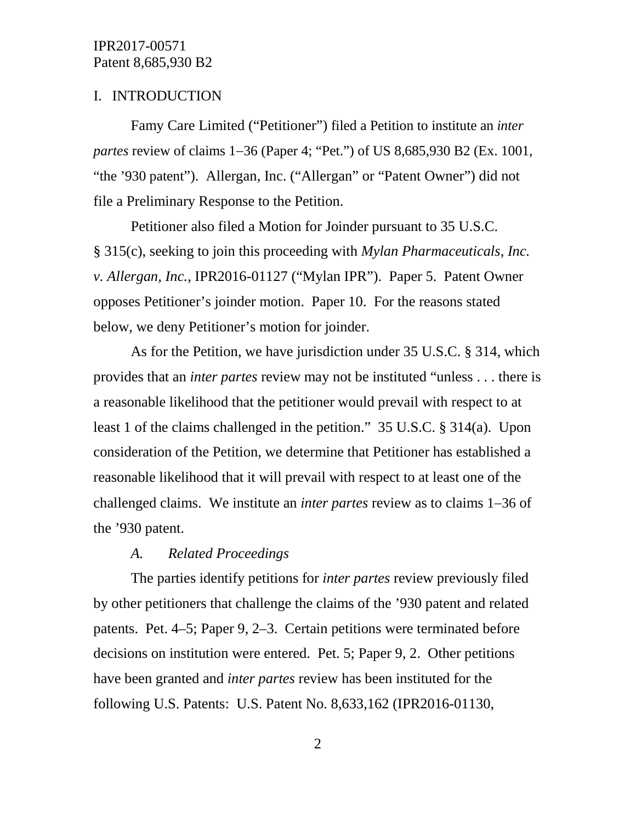### I. INTRODUCTION

Famy Care Limited ("Petitioner") filed a Petition to institute an *inter partes review of claims 1–36 (Paper 4; "Pet.") of US 8,685,930 B2 (Ex. 1001,* "the '930 patent"). Allergan, Inc. ("Allergan" or "Patent Owner") did not file a Preliminary Response to the Petition.

Petitioner also filed a Motion for Joinder pursuant to 35 U.S.C. § 315(c), seeking to join this proceeding with *Mylan Pharmaceuticals, Inc. v. Allergan, Inc.*, IPR2016-01127 ("Mylan IPR"). Paper 5. Patent Owner opposes Petitioner's joinder motion. Paper 10. For the reasons stated below, we deny Petitioner's motion for joinder.

As for the Petition, we have jurisdiction under 35 U.S.C. § 314, which provides that an *inter partes* review may not be instituted "unless . . . there is a reasonable likelihood that the petitioner would prevail with respect to at least 1 of the claims challenged in the petition." 35 U.S.C. § 314(a). Upon consideration of the Petition, we determine that Petitioner has established a reasonable likelihood that it will prevail with respect to at least one of the challenged claims. We institute an *inter partes* review as to claims 1−36 of the '930 patent.

#### *A. Related Proceedings*

The parties identify petitions for *inter partes* review previously filed by other petitioners that challenge the claims of the '930 patent and related patents. Pet. 4–5; Paper 9, 2–3. Certain petitions were terminated before decisions on institution were entered. Pet. 5; Paper 9, 2. Other petitions have been granted and *inter partes* review has been instituted for the following U.S. Patents: U.S. Patent No. 8,633,162 (IPR2016-01130,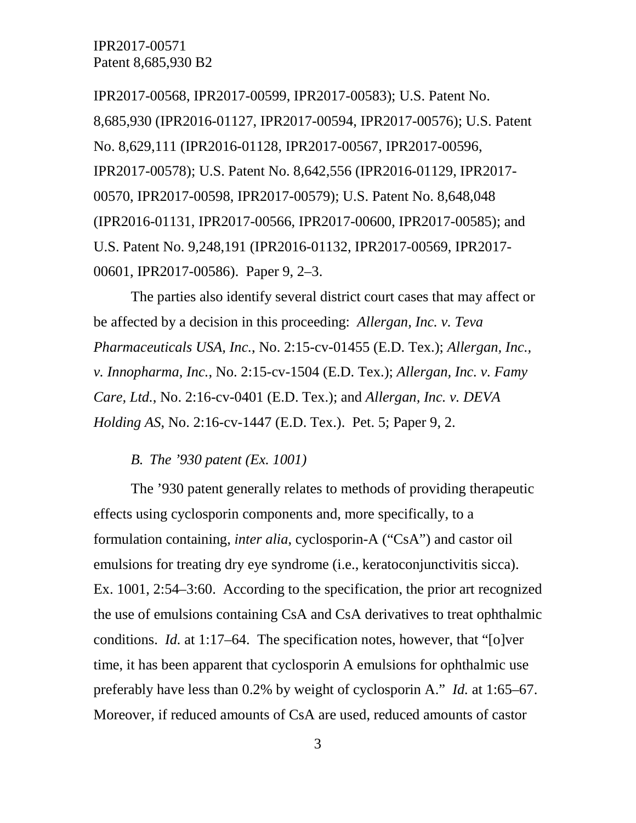IPR2017-00568, IPR2017-00599, IPR2017-00583); U.S. Patent No. 8,685,930 (IPR2016-01127, IPR2017-00594, IPR2017-00576); U.S. Patent No. 8,629,111 (IPR2016-01128, IPR2017-00567, IPR2017-00596, IPR2017-00578); U.S. Patent No. 8,642,556 (IPR2016-01129, IPR2017- 00570, IPR2017-00598, IPR2017-00579); U.S. Patent No. 8,648,048 (IPR2016-01131, IPR2017-00566, IPR2017-00600, IPR2017-00585); and U.S. Patent No. 9,248,191 (IPR2016-01132, IPR2017-00569, IPR2017- 00601, IPR2017-00586). Paper 9, 2–3.

The parties also identify several district court cases that may affect or be affected by a decision in this proceeding: *Allergan, Inc. v. Teva Pharmaceuticals USA, Inc.*, No. 2:15-cv-01455 (E.D. Tex.); *Allergan, Inc., v. Innopharma, Inc.*, No. 2:15-cv-1504 (E.D. Tex.); *Allergan, Inc. v. Famy Care, Ltd.*, No. 2:16-cv-0401 (E.D. Tex.); and *Allergan, Inc. v. DEVA Holding AS*, No. 2:16-cv-1447 (E.D. Tex.). Pet. 5; Paper 9, 2.

#### *B. The '930 patent (Ex. 1001)*

The '930 patent generally relates to methods of providing therapeutic effects using cyclosporin components and, more specifically, to a formulation containing, *inter alia*, cyclosporin-A ("CsA") and castor oil emulsions for treating dry eye syndrome (i.e., keratoconjunctivitis sicca). Ex. 1001, 2:54–3:60. According to the specification, the prior art recognized the use of emulsions containing CsA and CsA derivatives to treat ophthalmic conditions. *Id.* at 1:17–64. The specification notes, however, that "[o]ver time, it has been apparent that cyclosporin A emulsions for ophthalmic use preferably have less than 0.2% by weight of cyclosporin A." *Id.* at 1:65–67. Moreover, if reduced amounts of CsA are used, reduced amounts of castor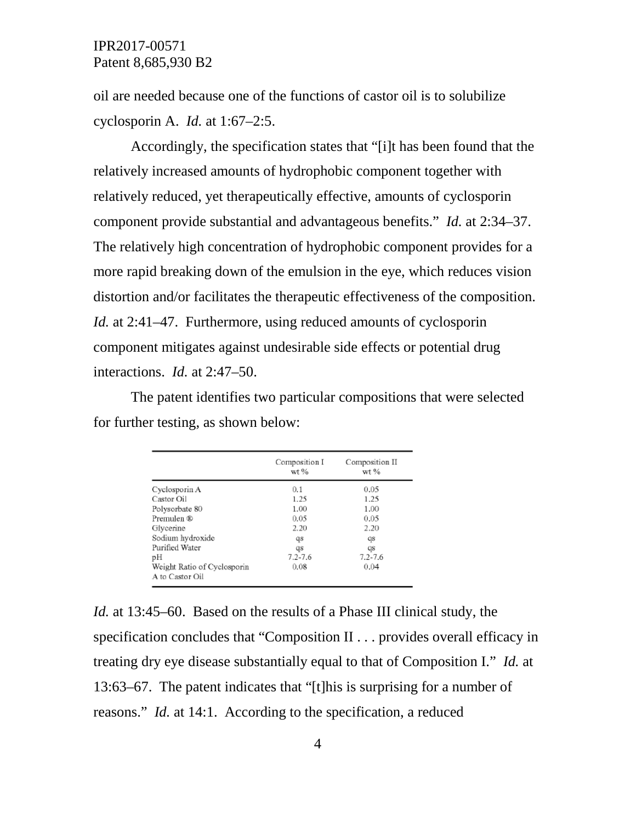oil are needed because one of the functions of castor oil is to solubilize cyclosporin A. *Id.* at 1:67–2:5.

Accordingly, the specification states that "[i]t has been found that the relatively increased amounts of hydrophobic component together with relatively reduced, yet therapeutically effective, amounts of cyclosporin component provide substantial and advantageous benefits." *Id.* at 2:34–37. The relatively high concentration of hydrophobic component provides for a more rapid breaking down of the emulsion in the eye, which reduces vision distortion and/or facilitates the therapeutic effectiveness of the composition. *Id.* at 2:41–47. Furthermore, using reduced amounts of cyclosporin component mitigates against undesirable side effects or potential drug interactions. *Id.* at 2:47–50.

The patent identifies two particular compositions that were selected for further testing, as shown below:

|                             | Composition I<br>$wt$ % | Composition II<br>$wt$ % |
|-----------------------------|-------------------------|--------------------------|
| Cyclosporin A               | 0.1                     | 0.05                     |
| Castor Oil                  | 1.25                    | 1.25                     |
| Polysorbate 80              | 1.00                    | 1.00                     |
| Premulen ®                  | 0.05                    | 0.05                     |
| Glycerine                   | 2.20                    | 2.20                     |
| Sodium hydroxide            | qs                      | qs                       |
| Purified Water              | qs                      | qs                       |
| рH                          | $7.2 - 7.6$             | $7.2 - 7.6$              |
| Weight Ratio of Cyclosporin | 0.08                    | 0.04                     |
| A to Castor Oil             |                         |                          |

*Id.* at 13:45–60. Based on the results of a Phase III clinical study, the specification concludes that "Composition II . . . provides overall efficacy in treating dry eye disease substantially equal to that of Composition I." *Id.* at 13:63–67. The patent indicates that "[t]his is surprising for a number of reasons." *Id.* at 14:1. According to the specification, a reduced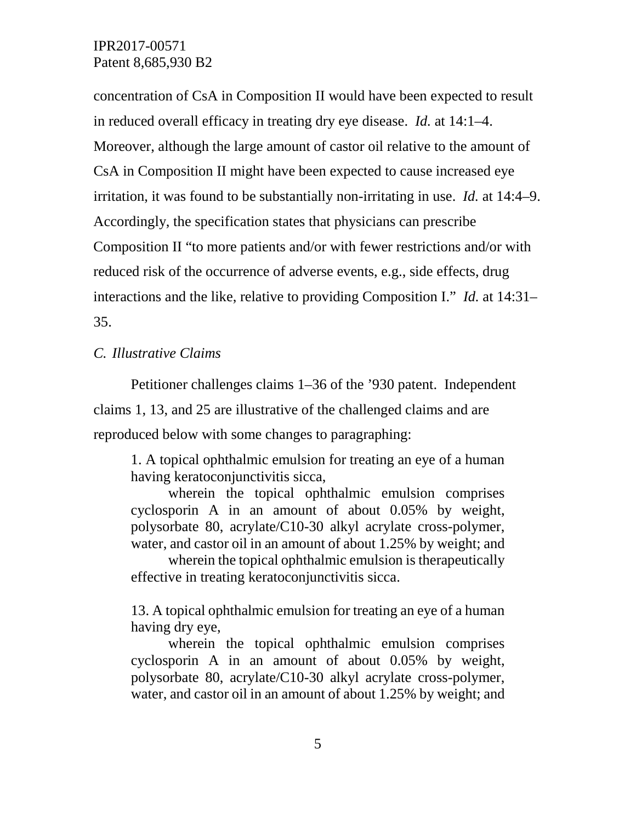concentration of CsA in Composition II would have been expected to result in reduced overall efficacy in treating dry eye disease. *Id.* at 14:1–4. Moreover, although the large amount of castor oil relative to the amount of CsA in Composition II might have been expected to cause increased eye irritation, it was found to be substantially non-irritating in use. *Id.* at 14:4–9. Accordingly, the specification states that physicians can prescribe Composition II "to more patients and/or with fewer restrictions and/or with reduced risk of the occurrence of adverse events, e.g., side effects, drug interactions and the like, relative to providing Composition I." *Id.* at 14:31– 35.

*C. Illustrative Claims*

Petitioner challenges claims 1–36 of the '930 patent. Independent claims 1, 13, and 25 are illustrative of the challenged claims and are reproduced below with some changes to paragraphing:

1. A topical ophthalmic emulsion for treating an eye of a human having keratoconjunctivitis sicca,

wherein the topical ophthalmic emulsion comprises cyclosporin A in an amount of about 0.05% by weight, polysorbate 80, acrylate/C10-30 alkyl acrylate cross-polymer, water, and castor oil in an amount of about 1.25% by weight; and

wherein the topical ophthalmic emulsion is therapeutically effective in treating keratoconjunctivitis sicca.

13. A topical ophthalmic emulsion for treating an eye of a human having dry eye,

wherein the topical ophthalmic emulsion comprises cyclosporin A in an amount of about 0.05% by weight, polysorbate 80, acrylate/C10-30 alkyl acrylate cross-polymer, water, and castor oil in an amount of about 1.25% by weight; and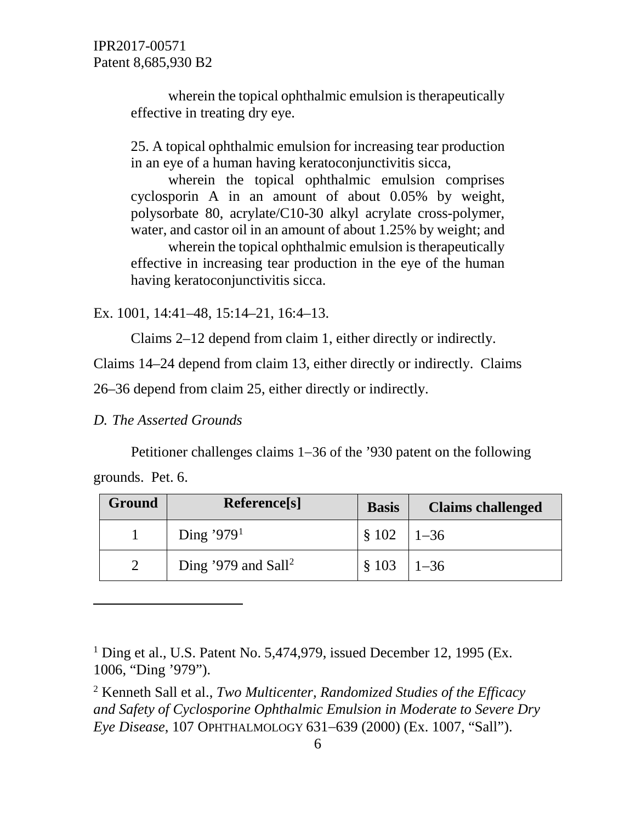wherein the topical ophthalmic emulsion is therapeutically effective in treating dry eye.

25. A topical ophthalmic emulsion for increasing tear production in an eye of a human having keratoconjunctivitis sicca,

wherein the topical ophthalmic emulsion comprises cyclosporin A in an amount of about 0.05% by weight, polysorbate 80, acrylate/C10-30 alkyl acrylate cross-polymer, water, and castor oil in an amount of about 1.25% by weight; and

wherein the topical ophthalmic emulsion is therapeutically effective in increasing tear production in the eye of the human having keratoconjunctivitis sicca.

Ex. 1001, 14:41–48, 15:14–21, 16:4–13.

Claims 2–12 depend from claim 1, either directly or indirectly.

Claims 14–24 depend from claim 13, either directly or indirectly. Claims

26–36 depend from claim 25, either directly or indirectly.

*D. The Asserted Grounds*

Petitioner challenges claims 1−36 of the '930 patent on the following

grounds. Pet. 6.

 $\overline{a}$ 

| Ground<br>Reference[s] |  | <b>Basis</b>                    | <b>Claims challenged</b> |          |
|------------------------|--|---------------------------------|--------------------------|----------|
|                        |  | Ding '979 <sup>1</sup>          | \$102                    | $1 - 36$ |
|                        |  | Ding '979 and Sall <sup>2</sup> | \$103                    | $1 - 36$ |

<span id="page-5-0"></span> $1$  Ding et al., U.S. Patent No. 5,474,979, issued December 12, 1995 (Ex. 1006, "Ding '979").

<span id="page-5-1"></span><sup>2</sup> Kenneth Sall et al., *Two Multicenter, Randomized Studies of the Efficacy and Safety of Cyclosporine Ophthalmic Emulsion in Moderate to Severe Dry Eye Disease*, 107 OPHTHALMOLOGY 631−639 (2000) (Ex. 1007, "Sall").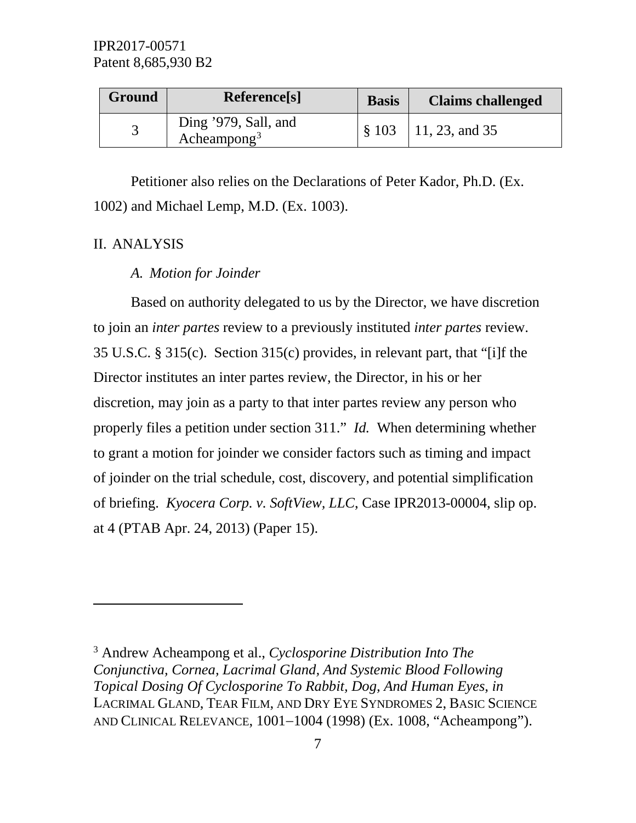| Ground | Reference <sup>[s]</sup>                        | <b>Basis</b> | <b>Claims challenged</b>              |
|--------|-------------------------------------------------|--------------|---------------------------------------|
|        | Ding '979, Sall, and<br>Acheampong <sup>3</sup> |              | $\frac{1}{2}$ \$ 103   11, 23, and 35 |

Petitioner also relies on the Declarations of Peter Kador, Ph.D. (Ex. 1002) and Michael Lemp, M.D. (Ex. 1003).

### II. ANALYSIS

 $\overline{a}$ 

# *A. Motion for Joinder*

Based on authority delegated to us by the Director, we have discretion to join an *inter partes* review to a previously instituted *inter partes* review. 35 U.S.C. § 315(c). Section 315(c) provides, in relevant part, that "[i]f the Director institutes an inter partes review, the Director, in his or her discretion, may join as a party to that inter partes review any person who properly files a petition under section 311." *Id.* When determining whether to grant a motion for joinder we consider factors such as timing and impact of joinder on the trial schedule, cost, discovery, and potential simplification of briefing. *Kyocera Corp. v. SoftView, LLC*, Case IPR2013-00004, slip op. at 4 (PTAB Apr. 24, 2013) (Paper 15).

<span id="page-6-0"></span><sup>3</sup> Andrew Acheampong et al., *Cyclosporine Distribution Into The Conjunctiva, Cornea, Lacrimal Gland, And Systemic Blood Following Topical Dosing Of Cyclosporine To Rabbit, Dog, And Human Eyes*, *in* LACRIMAL GLAND, TEAR FILM, AND DRY EYE SYNDROMES 2, BASIC SCIENCE AND CLINICAL RELEVANCE, 1001−1004 (1998) (Ex. 1008, "Acheampong").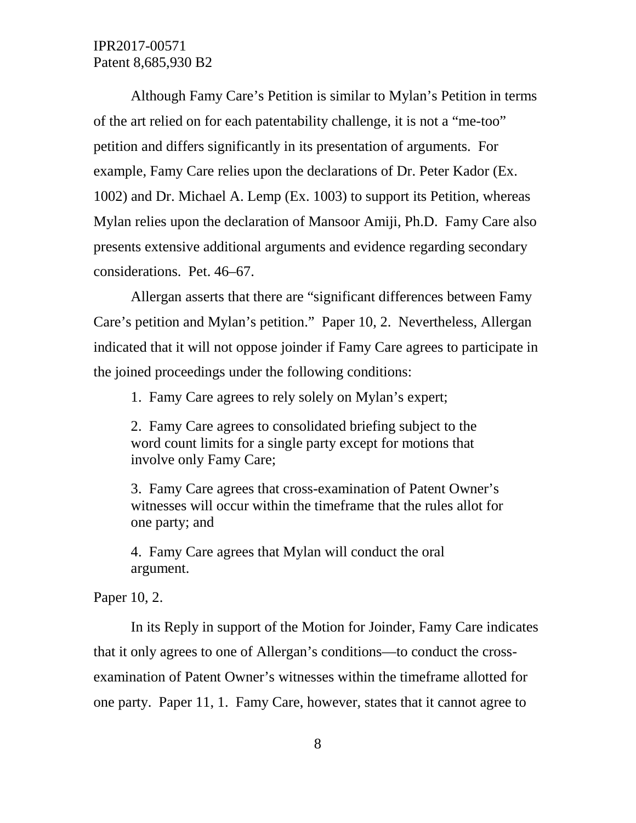Although Famy Care's Petition is similar to Mylan's Petition in terms of the art relied on for each patentability challenge, it is not a "me-too" petition and differs significantly in its presentation of arguments. For example, Famy Care relies upon the declarations of Dr. Peter Kador (Ex. 1002) and Dr. Michael A. Lemp (Ex. 1003) to support its Petition, whereas Mylan relies upon the declaration of Mansoor Amiji, Ph.D. Famy Care also presents extensive additional arguments and evidence regarding secondary considerations. Pet. 46–67.

Allergan asserts that there are "significant differences between Famy Care's petition and Mylan's petition." Paper 10, 2. Nevertheless, Allergan indicated that it will not oppose joinder if Famy Care agrees to participate in the joined proceedings under the following conditions:

1. Famy Care agrees to rely solely on Mylan's expert;

2. Famy Care agrees to consolidated briefing subject to the word count limits for a single party except for motions that involve only Famy Care;

3. Famy Care agrees that cross-examination of Patent Owner's witnesses will occur within the timeframe that the rules allot for one party; and

4. Famy Care agrees that Mylan will conduct the oral argument.

Paper 10, 2.

In its Reply in support of the Motion for Joinder, Famy Care indicates that it only agrees to one of Allergan's conditions—to conduct the crossexamination of Patent Owner's witnesses within the timeframe allotted for one party. Paper 11, 1. Famy Care, however, states that it cannot agree to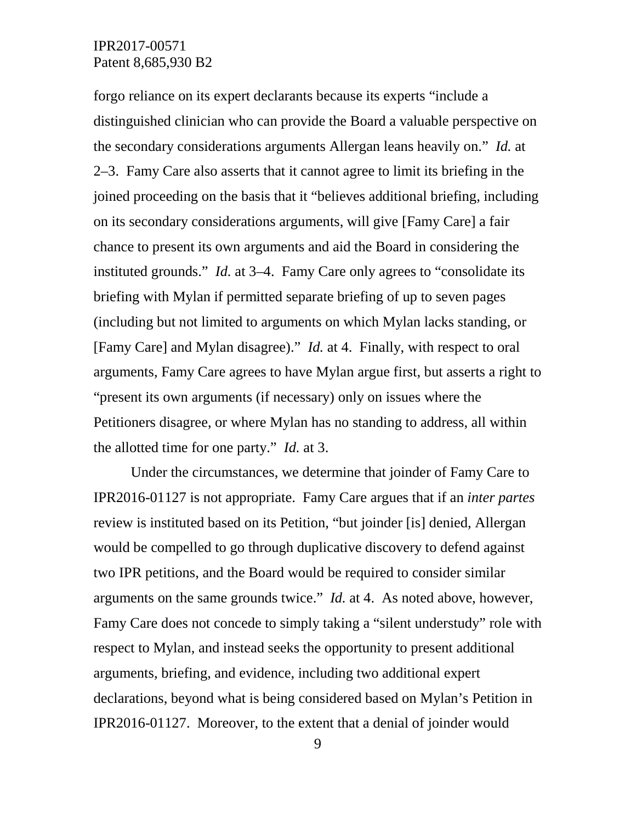forgo reliance on its expert declarants because its experts "include a distinguished clinician who can provide the Board a valuable perspective on the secondary considerations arguments Allergan leans heavily on." *Id.* at 2–3. Famy Care also asserts that it cannot agree to limit its briefing in the joined proceeding on the basis that it "believes additional briefing, including on its secondary considerations arguments, will give [Famy Care] a fair chance to present its own arguments and aid the Board in considering the instituted grounds." *Id.* at 3–4. Famy Care only agrees to "consolidate its briefing with Mylan if permitted separate briefing of up to seven pages (including but not limited to arguments on which Mylan lacks standing, or [Famy Care] and Mylan disagree)." *Id.* at 4. Finally, with respect to oral arguments, Famy Care agrees to have Mylan argue first, but asserts a right to "present its own arguments (if necessary) only on issues where the Petitioners disagree, or where Mylan has no standing to address, all within the allotted time for one party." *Id.* at 3.

Under the circumstances, we determine that joinder of Famy Care to IPR2016-01127 is not appropriate. Famy Care argues that if an *inter partes* review is instituted based on its Petition, "but joinder [is] denied, Allergan would be compelled to go through duplicative discovery to defend against two IPR petitions, and the Board would be required to consider similar arguments on the same grounds twice." *Id.* at 4. As noted above, however, Famy Care does not concede to simply taking a "silent understudy" role with respect to Mylan, and instead seeks the opportunity to present additional arguments, briefing, and evidence, including two additional expert declarations, beyond what is being considered based on Mylan's Petition in IPR2016-01127. Moreover, to the extent that a denial of joinder would

9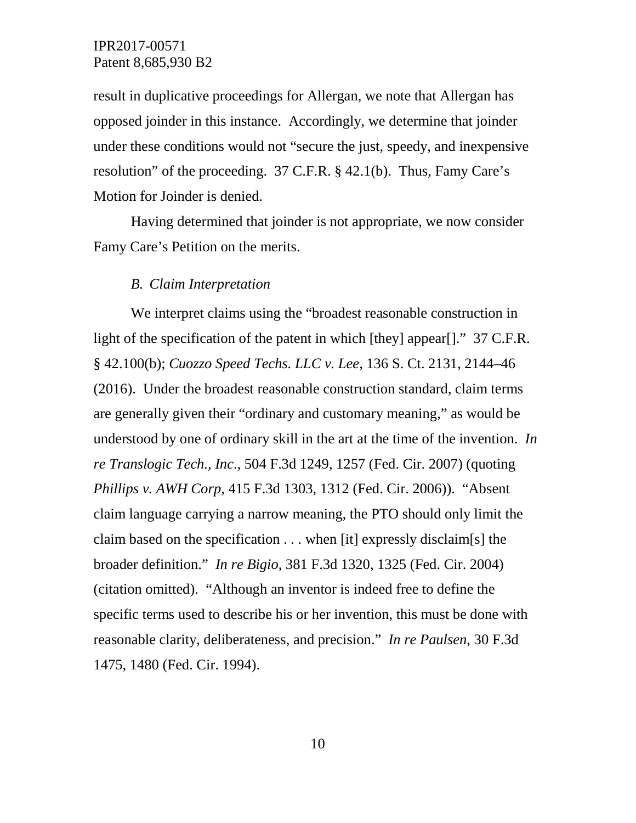result in duplicative proceedings for Allergan, we note that Allergan has opposed joinder in this instance. Accordingly, we determine that joinder under these conditions would not "secure the just, speedy, and inexpensive resolution" of the proceeding. 37 C.F.R. § 42.1(b). Thus, Famy Care's Motion for Joinder is denied.

Having determined that joinder is not appropriate, we now consider Famy Care's Petition on the merits.

#### *B. Claim Interpretation*

We interpret claims using the "broadest reasonable construction in light of the specification of the patent in which [they] appear[]." 37 C.F.R. § 42.100(b); *Cuozzo Speed Techs. LLC v. Lee,* 136 S. Ct. 2131, 2144–46 (2016). Under the broadest reasonable construction standard, claim terms are generally given their "ordinary and customary meaning," as would be understood by one of ordinary skill in the art at the time of the invention. *In re Translogic Tech., Inc*., 504 F.3d 1249, 1257 (Fed. Cir. 2007) (quoting *Phillips v. AWH Corp*, 415 F.3d 1303, 1312 (Fed. Cir. 2006)). "Absent claim language carrying a narrow meaning, the PTO should only limit the claim based on the specification . . . when [it] expressly disclaim[s] the broader definition." *In re Bigio*, 381 F.3d 1320, 1325 (Fed. Cir. 2004) (citation omitted). "Although an inventor is indeed free to define the specific terms used to describe his or her invention, this must be done with reasonable clarity, deliberateness, and precision." *In re Paulsen*, 30 F.3d 1475, 1480 (Fed. Cir. 1994).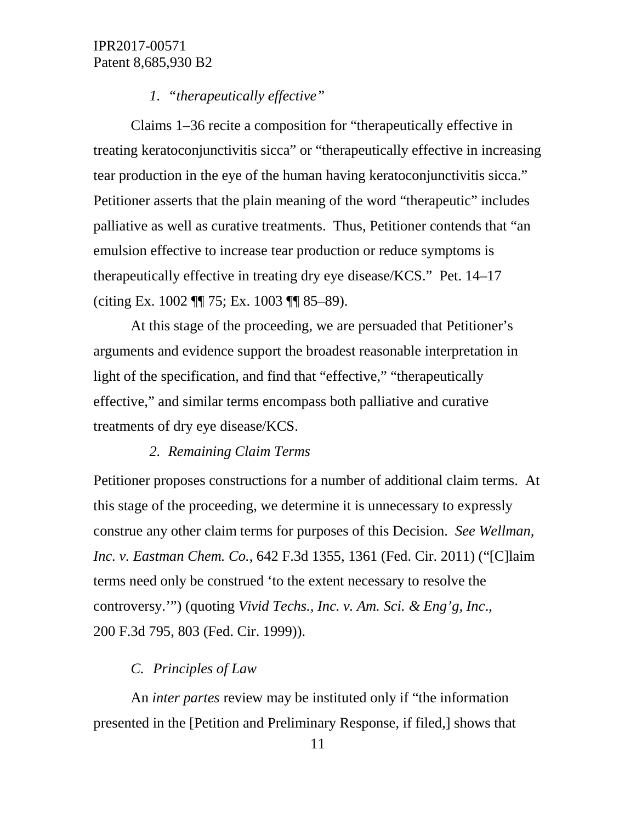### *1. "therapeutically effective"*

Claims 1–36 recite a composition for "therapeutically effective in treating keratoconjunctivitis sicca" or "therapeutically effective in increasing tear production in the eye of the human having keratoconjunctivitis sicca." Petitioner asserts that the plain meaning of the word "therapeutic" includes palliative as well as curative treatments. Thus, Petitioner contends that "an emulsion effective to increase tear production or reduce symptoms is therapeutically effective in treating dry eye disease/KCS." Pet. 14–17 (citing Ex. 1002 ¶¶ 75; Ex. 1003 ¶¶ 85–89).

At this stage of the proceeding, we are persuaded that Petitioner's arguments and evidence support the broadest reasonable interpretation in light of the specification, and find that "effective," "therapeutically effective," and similar terms encompass both palliative and curative treatments of dry eye disease/KCS.

#### *2. Remaining Claim Terms*

Petitioner proposes constructions for a number of additional claim terms. At this stage of the proceeding, we determine it is unnecessary to expressly construe any other claim terms for purposes of this Decision. *See Wellman, Inc. v. Eastman Chem. Co.*, 642 F.3d 1355, 1361 (Fed. Cir. 2011) ("[C]laim terms need only be construed 'to the extent necessary to resolve the controversy.'") (quoting *Vivid Techs., Inc. v. Am. Sci. & Eng'g, Inc*., 200 F.3d 795, 803 (Fed. Cir. 1999)).

# *C. Principles of Law*

An *inter partes* review may be instituted only if "the information presented in the [Petition and Preliminary Response, if filed,] shows that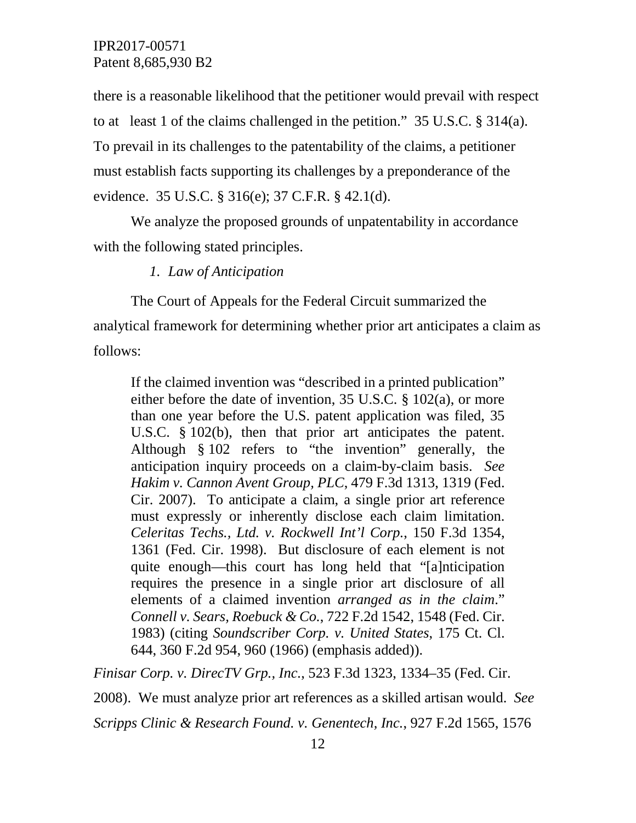there is a reasonable likelihood that the petitioner would prevail with respect to at least 1 of the claims challenged in the petition." 35 U.S.C. § 314(a). To prevail in its challenges to the patentability of the claims, a petitioner must establish facts supporting its challenges by a preponderance of the evidence. 35 U.S.C. § 316(e); 37 C.F.R. § 42.1(d).

We analyze the proposed grounds of unpatentability in accordance with the following stated principles.

#### *1. Law of Anticipation*

The Court of Appeals for the Federal Circuit summarized the analytical framework for determining whether prior art anticipates a claim as follows:

If the claimed invention was "described in a printed publication" either before the date of invention, 35 U.S.C. § 102(a), or more than one year before the U.S. patent application was filed, 35 U.S.C. § 102(b), then that prior art anticipates the patent. Although § 102 refers to "the invention" generally, the anticipation inquiry proceeds on a claim-by-claim basis. *See Hakim v. Cannon Avent Group, PLC*, 479 F.3d 1313, 1319 (Fed. Cir. 2007). To anticipate a claim, a single prior art reference must expressly or inherently disclose each claim limitation. *Celeritas Techs., Ltd. v. Rockwell Int'l Corp.*, 150 F.3d 1354, 1361 (Fed. Cir. 1998). But disclosure of each element is not quite enough—this court has long held that "[a]nticipation requires the presence in a single prior art disclosure of all elements of a claimed invention *arranged as in the claim*." *Connell v. Sears, Roebuck & Co.*, 722 F.2d 1542, 1548 (Fed. Cir. 1983) (citing *Soundscriber Corp. v. United States*, 175 Ct. Cl. 644, 360 F.2d 954, 960 (1966) (emphasis added)).

*Finisar Corp. v. DirecTV Grp., Inc.*, 523 F.3d 1323, 1334–35 (Fed. Cir.

2008). We must analyze prior art references as a skilled artisan would. *See* 

*Scripps Clinic & Research Found. v. Genentech, Inc.*, 927 F.2d 1565, 1576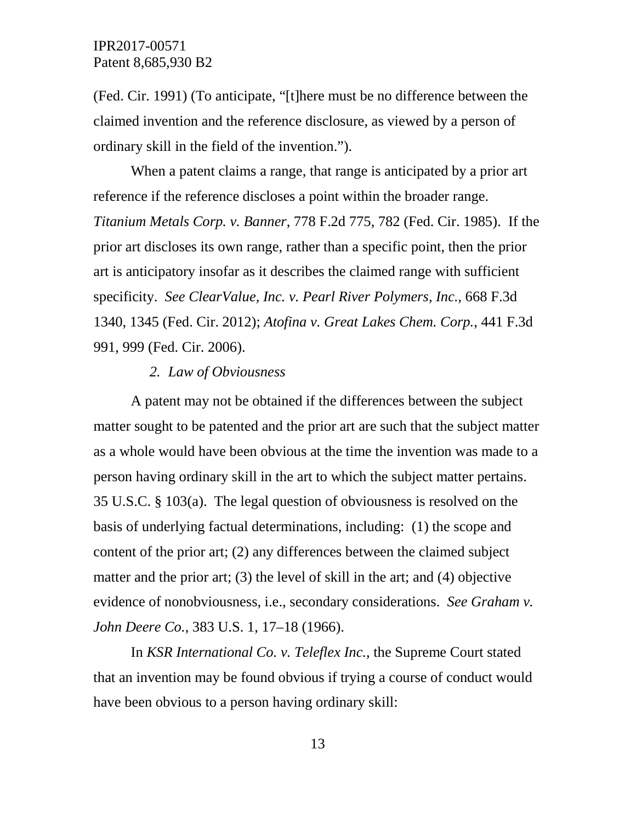(Fed. Cir. 1991) (To anticipate, "[t]here must be no difference between the claimed invention and the reference disclosure, as viewed by a person of ordinary skill in the field of the invention.").

When a patent claims a range, that range is anticipated by a prior art reference if the reference discloses a point within the broader range. *Titanium Metals Corp. v. Banner*, 778 F.2d 775, 782 (Fed. Cir. 1985). If the prior art discloses its own range, rather than a specific point, then the prior art is anticipatory insofar as it describes the claimed range with sufficient specificity. *See ClearValue, Inc. v. Pearl River Polymers, Inc.*, 668 F.3d 1340, 1345 (Fed. Cir. 2012); *Atofina v. Great Lakes Chem. Corp.*, 441 F.3d 991, 999 (Fed. Cir. 2006).

#### *2. Law of Obviousness*

A patent may not be obtained if the differences between the subject matter sought to be patented and the prior art are such that the subject matter as a whole would have been obvious at the time the invention was made to a person having ordinary skill in the art to which the subject matter pertains. 35 U.S.C. § 103(a). The legal question of obviousness is resolved on the basis of underlying factual determinations, including: (1) the scope and content of the prior art; (2) any differences between the claimed subject matter and the prior art; (3) the level of skill in the art; and (4) objective evidence of nonobviousness, i.e., secondary considerations. *See Graham v. John Deere Co.*, 383 U.S. 1, 17–18 (1966).

In *KSR International Co. v. Teleflex Inc.*, the Supreme Court stated that an invention may be found obvious if trying a course of conduct would have been obvious to a person having ordinary skill: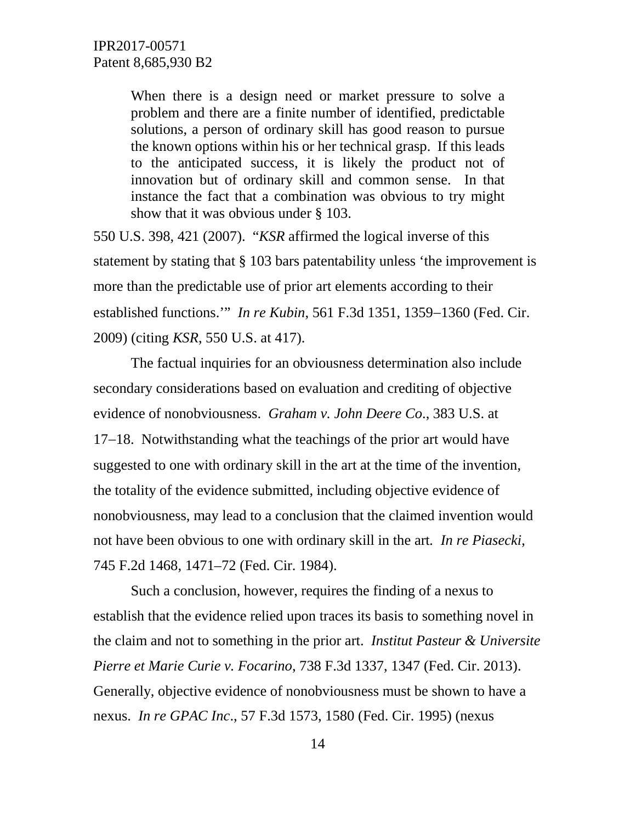When there is a design need or market pressure to solve a problem and there are a finite number of identified, predictable solutions, a person of ordinary skill has good reason to pursue the known options within his or her technical grasp. If this leads to the anticipated success, it is likely the product not of innovation but of ordinary skill and common sense. In that instance the fact that a combination was obvious to try might show that it was obvious under § 103.

550 U.S. 398, 421 (2007). "*KSR* affirmed the logical inverse of this statement by stating that § 103 bars patentability unless 'the improvement is more than the predictable use of prior art elements according to their established functions.'" *In re Kubin*, 561 F.3d 1351, 1359−1360 (Fed. Cir. 2009) (citing *KSR*, 550 U.S. at 417).

The factual inquiries for an obviousness determination also include secondary considerations based on evaluation and crediting of objective evidence of nonobviousness. *Graham v. John Deere Co*., 383 U.S. at 17−18. Notwithstanding what the teachings of the prior art would have suggested to one with ordinary skill in the art at the time of the invention, the totality of the evidence submitted, including objective evidence of nonobviousness, may lead to a conclusion that the claimed invention would not have been obvious to one with ordinary skill in the art*. In re Piasecki*, 745 F.2d 1468, 1471–72 (Fed. Cir. 1984).

Such a conclusion, however, requires the finding of a nexus to establish that the evidence relied upon traces its basis to something novel in the claim and not to something in the prior art. *Institut Pasteur & Universite Pierre et Marie Curie v. Focarino*, 738 F.3d 1337, 1347 (Fed. Cir. 2013). Generally, objective evidence of nonobviousness must be shown to have a nexus. *In re GPAC Inc*., 57 F.3d 1573, 1580 (Fed. Cir. 1995) (nexus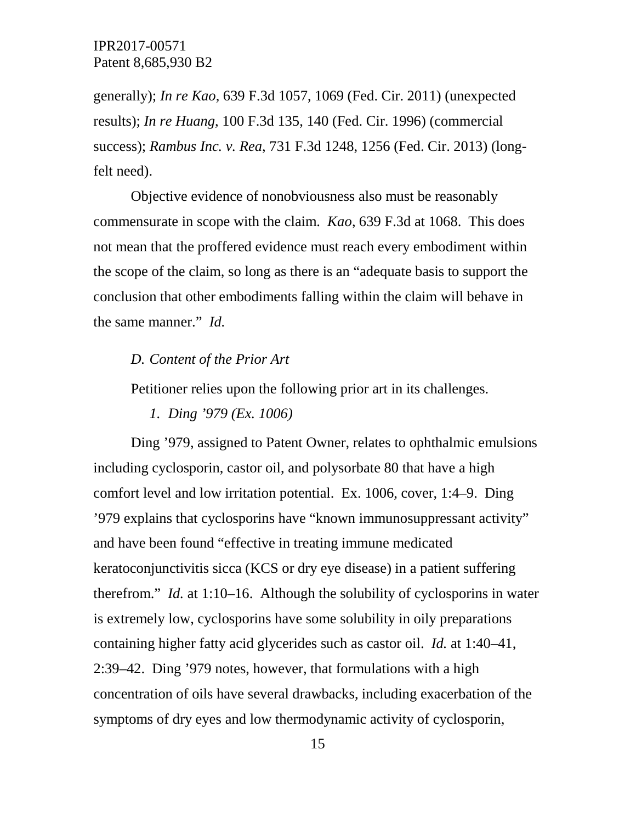generally); *In re Kao*, 639 F.3d 1057, 1069 (Fed. Cir. 2011) (unexpected results); *In re Huang*, 100 F.3d 135, 140 (Fed. Cir. 1996) (commercial success); *Rambus Inc. v. Rea*, 731 F.3d 1248, 1256 (Fed. Cir. 2013) (longfelt need).

Objective evidence of nonobviousness also must be reasonably commensurate in scope with the claim. *Kao*, 639 F.3d at 1068. This does not mean that the proffered evidence must reach every embodiment within the scope of the claim, so long as there is an "adequate basis to support the conclusion that other embodiments falling within the claim will behave in the same manner." *Id.*

# *D. Content of the Prior Art*

Petitioner relies upon the following prior art in its challenges.

*1. Ding '979 (Ex. 1006)* 

Ding '979, assigned to Patent Owner, relates to ophthalmic emulsions including cyclosporin, castor oil, and polysorbate 80 that have a high comfort level and low irritation potential. Ex. 1006, cover, 1:4–9. Ding '979 explains that cyclosporins have "known immunosuppressant activity" and have been found "effective in treating immune medicated keratoconjunctivitis sicca (KCS or dry eye disease) in a patient suffering therefrom." *Id.* at 1:10–16. Although the solubility of cyclosporins in water is extremely low, cyclosporins have some solubility in oily preparations containing higher fatty acid glycerides such as castor oil. *Id.* at 1:40–41, 2:39–42. Ding '979 notes, however, that formulations with a high concentration of oils have several drawbacks, including exacerbation of the symptoms of dry eyes and low thermodynamic activity of cyclosporin,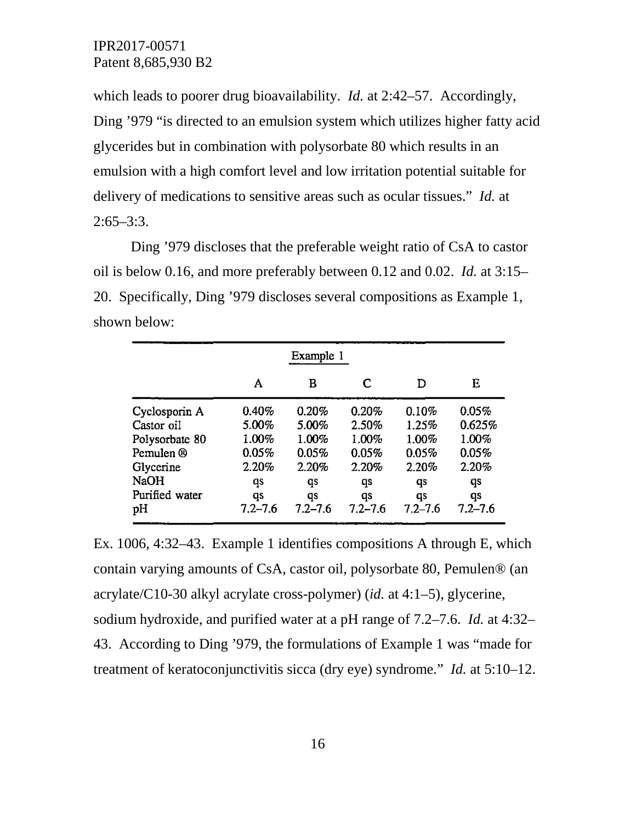which leads to poorer drug bioavailability. *Id.* at 2:42–57. Accordingly, Ding '979 "is directed to an emulsion system which utilizes higher fatty acid glycerides but in combination with polysorbate 80 which results in an emulsion with a high comfort level and low irritation potential suitable for delivery of medications to sensitive areas such as ocular tissues." *Id.* at  $2:65 - 3:3$ .

Ding '979 discloses that the preferable weight ratio of CsA to castor oil is below 0.16, and more preferably between 0.12 and 0.02. *Id.* at 3:15– 20. Specifically, Ding '979 discloses several compositions as Example 1, shown below:

|                | Example 1   |             |             |             |             |  |
|----------------|-------------|-------------|-------------|-------------|-------------|--|
|                | A           | в           | C           | D           | Е           |  |
| Cyclosporin A  | 0.40%       | 0.20%       | 0.20%       | 0.10%       | 0.05%       |  |
| Castor oil     | 5.00%       | 5.00%       | 2.50%       | 1.25%       | 0.625%      |  |
| Polysorbate 80 | 1.00%       | 1.00%       | 1.00%       | 1.00%       | $1.00\%$    |  |
| Pemulen ®      | 0.05%       | 0.05%       | 0.05%       | 0.05%       | 0.05%       |  |
| Glycerine      | 2.20%       | 2.20%       | 2.20%       | 2.20%       | 2.20%       |  |
| <b>NaOH</b>    | qs          | qs          | qs          | qs          | qs          |  |
| Purified water | qs          | qs          | qs          | qs          | qs          |  |
| pН             | $7.2 - 7.6$ | $7.2 - 7.6$ | $7.2 - 7.6$ | $7.2 - 7.6$ | $7.2 - 7.6$ |  |

Ex. 1006, 4:32–43. Example 1 identifies compositions A through E, which contain varying amounts of CsA, castor oil, polysorbate 80, Pemulen® (an acrylate/C10-30 alkyl acrylate cross-polymer) (*id.* at 4:1–5), glycerine, sodium hydroxide, and purified water at a pH range of 7.2–7.6. *Id.* at 4:32– 43. According to Ding '979, the formulations of Example 1 was "made for treatment of keratoconjunctivitis sicca (dry eye) syndrome." *Id.* at 5:10–12.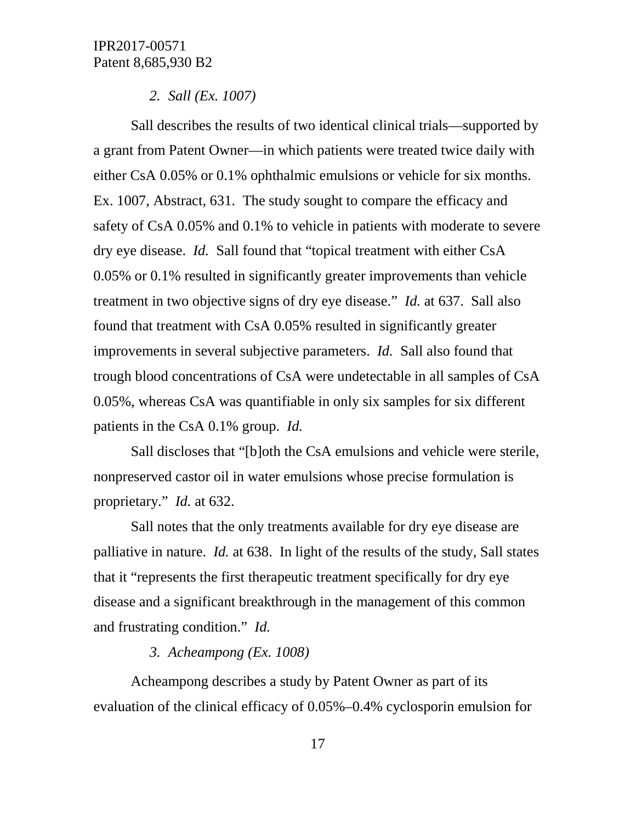#### *2. Sall (Ex. 1007)*

Sall describes the results of two identical clinical trials—supported by a grant from Patent Owner—in which patients were treated twice daily with either CsA 0.05% or 0.1% ophthalmic emulsions or vehicle for six months. Ex. 1007, Abstract, 631. The study sought to compare the efficacy and safety of CsA 0.05% and 0.1% to vehicle in patients with moderate to severe dry eye disease. *Id.* Sall found that "topical treatment with either CsA 0.05% or 0.1% resulted in significantly greater improvements than vehicle treatment in two objective signs of dry eye disease." *Id.* at 637. Sall also found that treatment with CsA 0.05% resulted in significantly greater improvements in several subjective parameters. *Id.* Sall also found that trough blood concentrations of CsA were undetectable in all samples of CsA 0.05%, whereas CsA was quantifiable in only six samples for six different patients in the CsA 0.1% group. *Id.*

Sall discloses that "[b]oth the CsA emulsions and vehicle were sterile, nonpreserved castor oil in water emulsions whose precise formulation is proprietary." *Id.* at 632.

Sall notes that the only treatments available for dry eye disease are palliative in nature. *Id.* at 638. In light of the results of the study, Sall states that it "represents the first therapeutic treatment specifically for dry eye disease and a significant breakthrough in the management of this common and frustrating condition." *Id.*

### *3. Acheampong (Ex. 1008)*

Acheampong describes a study by Patent Owner as part of its evaluation of the clinical efficacy of 0.05%–0.4% cyclosporin emulsion for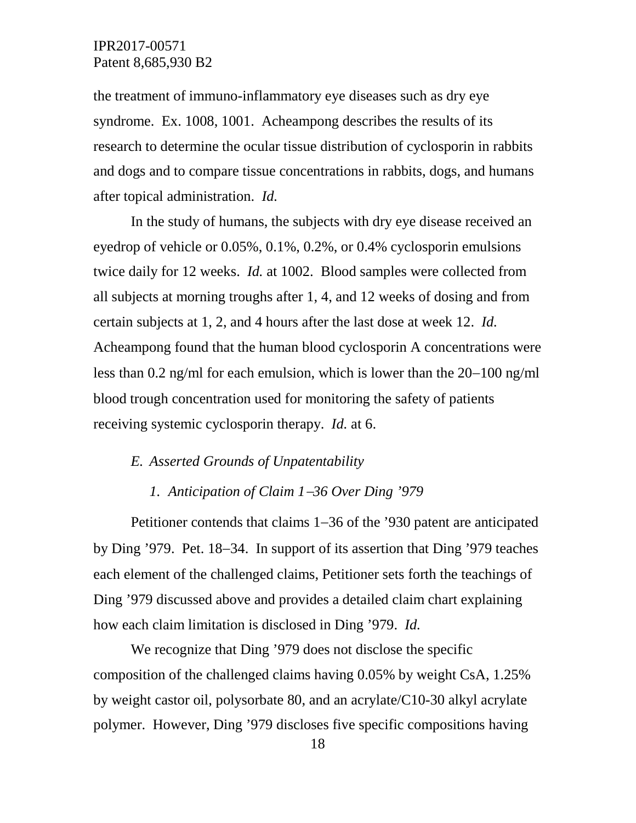the treatment of immuno-inflammatory eye diseases such as dry eye syndrome. Ex. 1008, 1001. Acheampong describes the results of its research to determine the ocular tissue distribution of cyclosporin in rabbits and dogs and to compare tissue concentrations in rabbits, dogs, and humans after topical administration. *Id.*

In the study of humans, the subjects with dry eye disease received an eyedrop of vehicle or 0.05%, 0.1%, 0.2%, or 0.4% cyclosporin emulsions twice daily for 12 weeks. *Id.* at 1002. Blood samples were collected from all subjects at morning troughs after 1, 4, and 12 weeks of dosing and from certain subjects at 1, 2, and 4 hours after the last dose at week 12. *Id.* Acheampong found that the human blood cyclosporin A concentrations were less than 0.2 ng/ml for each emulsion, which is lower than the 20−100 ng/ml blood trough concentration used for monitoring the safety of patients receiving systemic cyclosporin therapy. *Id.* at 6.

# *E. Asserted Grounds of Unpatentability*

### *1. Anticipation of Claim 1*−*36 Over Ding '979*

Petitioner contends that claims 1−36 of the '930 patent are anticipated by Ding '979. Pet. 18−34. In support of its assertion that Ding '979 teaches each element of the challenged claims, Petitioner sets forth the teachings of Ding '979 discussed above and provides a detailed claim chart explaining how each claim limitation is disclosed in Ding '979. *Id.*

We recognize that Ding '979 does not disclose the specific composition of the challenged claims having 0.05% by weight CsA, 1.25% by weight castor oil, polysorbate 80, and an acrylate/C10-30 alkyl acrylate polymer. However, Ding '979 discloses five specific compositions having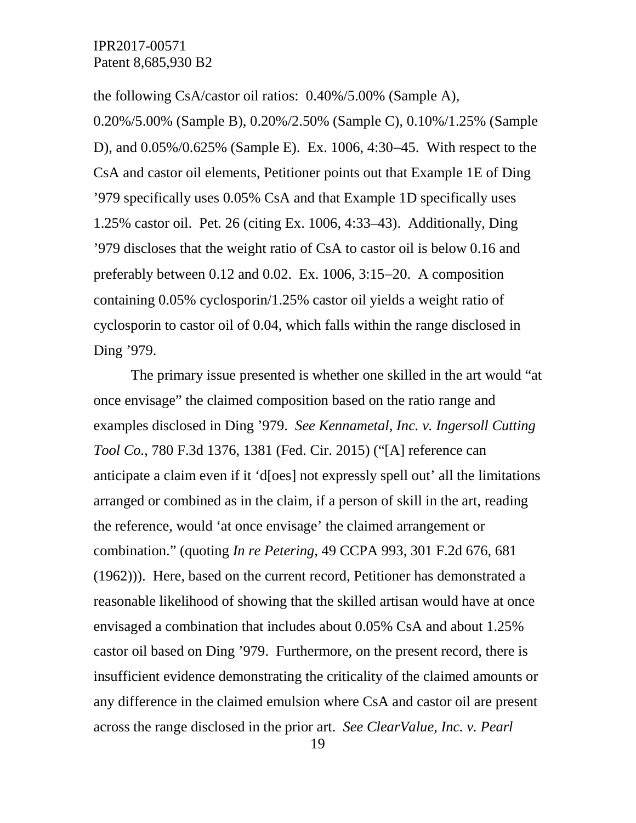the following CsA/castor oil ratios: 0.40%/5.00% (Sample A),

0.20%/5.00% (Sample B), 0.20%/2.50% (Sample C), 0.10%/1.25% (Sample D), and 0.05%/0.625% (Sample E). Ex. 1006, 4:30−45. With respect to the CsA and castor oil elements, Petitioner points out that Example 1E of Ding '979 specifically uses 0.05% CsA and that Example 1D specifically uses 1.25% castor oil. Pet. 26 (citing Ex. 1006, 4:33–43). Additionally, Ding '979 discloses that the weight ratio of CsA to castor oil is below 0.16 and preferably between 0.12 and 0.02. Ex. 1006, 3:15−20. A composition containing 0.05% cyclosporin/1.25% castor oil yields a weight ratio of cyclosporin to castor oil of 0.04, which falls within the range disclosed in Ding '979.

The primary issue presented is whether one skilled in the art would "at once envisage" the claimed composition based on the ratio range and examples disclosed in Ding '979. *See Kennametal, Inc. v. Ingersoll Cutting Tool Co.*, 780 F.3d 1376, 1381 (Fed. Cir. 2015) ("[A] reference can anticipate a claim even if it 'd[oes] not expressly spell out' all the limitations arranged or combined as in the claim, if a person of skill in the art, reading the reference, would 'at once envisage' the claimed arrangement or combination." (quoting *In re Petering*, 49 CCPA 993, 301 F.2d 676, 681 (1962))). Here, based on the current record, Petitioner has demonstrated a reasonable likelihood of showing that the skilled artisan would have at once envisaged a combination that includes about 0.05% CsA and about 1.25% castor oil based on Ding '979. Furthermore, on the present record, there is insufficient evidence demonstrating the criticality of the claimed amounts or any difference in the claimed emulsion where CsA and castor oil are present across the range disclosed in the prior art. *See ClearValue, Inc. v. Pearl*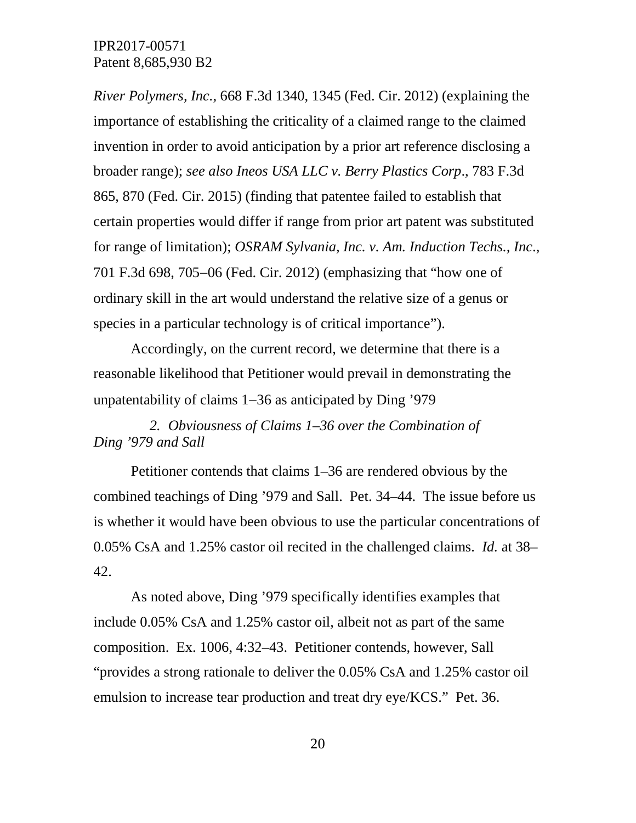*River Polymers, Inc.*, 668 F.3d 1340, 1345 (Fed. Cir. 2012) (explaining the importance of establishing the criticality of a claimed range to the claimed invention in order to avoid anticipation by a prior art reference disclosing a broader range); *see also Ineos USA LLC v. Berry Plastics Corp*., 783 F.3d 865, 870 (Fed. Cir. 2015) (finding that patentee failed to establish that certain properties would differ if range from prior art patent was substituted for range of limitation); *OSRAM Sylvania, Inc. v. Am. Induction Techs., Inc*., 701 F.3d 698, 705−06 (Fed. Cir. 2012) (emphasizing that "how one of ordinary skill in the art would understand the relative size of a genus or species in a particular technology is of critical importance").

Accordingly, on the current record, we determine that there is a reasonable likelihood that Petitioner would prevail in demonstrating the unpatentability of claims 1−36 as anticipated by Ding '979

*2. Obviousness of Claims 1–36 over the Combination of Ding '979 and Sall*

Petitioner contends that claims 1–36 are rendered obvious by the combined teachings of Ding '979 and Sall. Pet. 34–44. The issue before us is whether it would have been obvious to use the particular concentrations of 0.05% CsA and 1.25% castor oil recited in the challenged claims. *Id.* at 38– 42.

As noted above, Ding '979 specifically identifies examples that include 0.05% CsA and 1.25% castor oil, albeit not as part of the same composition. Ex. 1006, 4:32–43. Petitioner contends, however, Sall "provides a strong rationale to deliver the 0.05% CsA and 1.25% castor oil emulsion to increase tear production and treat dry eye/KCS." Pet. 36.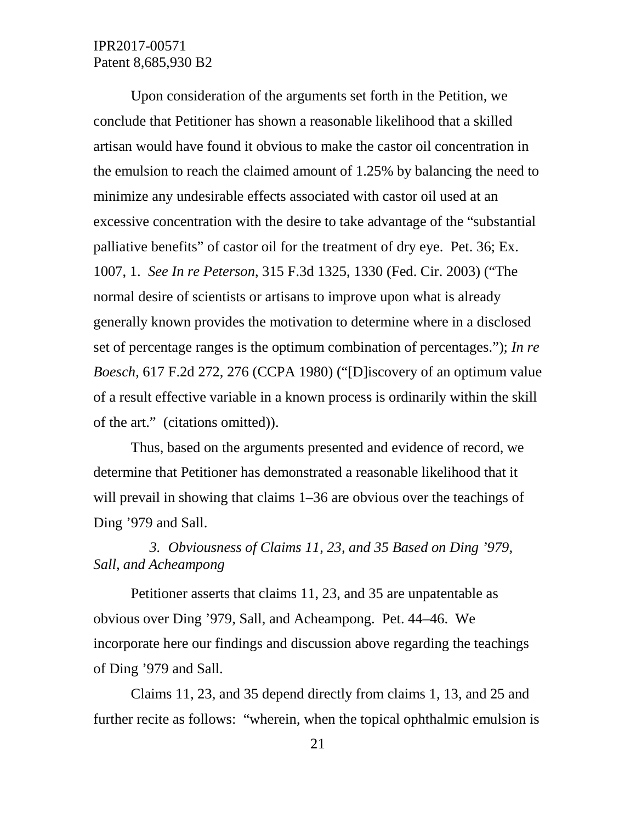Upon consideration of the arguments set forth in the Petition, we conclude that Petitioner has shown a reasonable likelihood that a skilled artisan would have found it obvious to make the castor oil concentration in the emulsion to reach the claimed amount of 1.25% by balancing the need to minimize any undesirable effects associated with castor oil used at an excessive concentration with the desire to take advantage of the "substantial palliative benefits" of castor oil for the treatment of dry eye. Pet. 36; Ex. 1007, 1. *See In re Peterson*, 315 F.3d 1325, 1330 (Fed. Cir. 2003) ("The normal desire of scientists or artisans to improve upon what is already generally known provides the motivation to determine where in a disclosed set of percentage ranges is the optimum combination of percentages."); *In re Boesch*, 617 F.2d 272, 276 (CCPA 1980) ("[D]iscovery of an optimum value of a result effective variable in a known process is ordinarily within the skill of the art." (citations omitted)).

Thus, based on the arguments presented and evidence of record, we determine that Petitioner has demonstrated a reasonable likelihood that it will prevail in showing that claims 1–36 are obvious over the teachings of Ding '979 and Sall.

*3. Obviousness of Claims 11, 23, and 35 Based on Ding '979, Sall, and Acheampong*

Petitioner asserts that claims 11, 23, and 35 are unpatentable as obvious over Ding '979, Sall, and Acheampong. Pet. 44–46. We incorporate here our findings and discussion above regarding the teachings of Ding '979 and Sall.

Claims 11, 23, and 35 depend directly from claims 1, 13, and 25 and further recite as follows: "wherein, when the topical ophthalmic emulsion is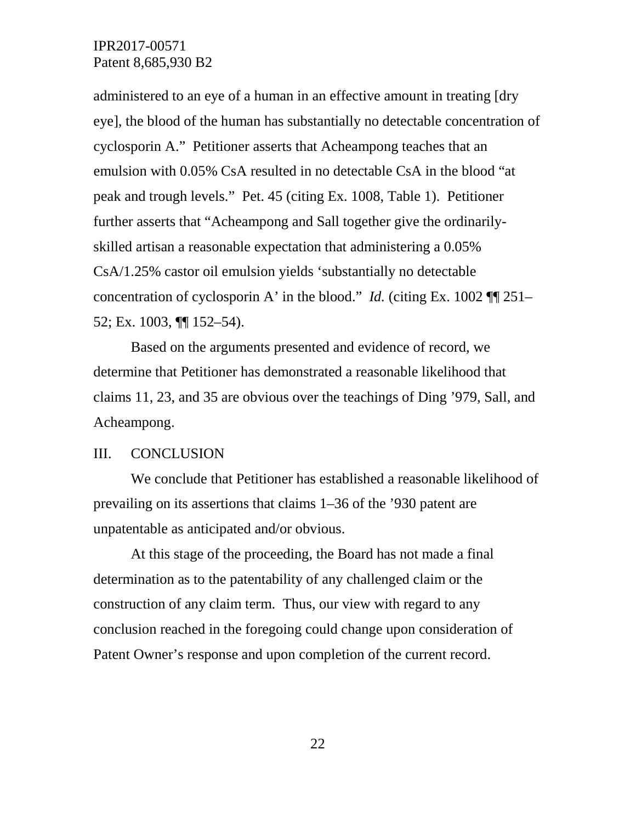administered to an eye of a human in an effective amount in treating [dry eye], the blood of the human has substantially no detectable concentration of cyclosporin A." Petitioner asserts that Acheampong teaches that an emulsion with 0.05% CsA resulted in no detectable CsA in the blood "at peak and trough levels." Pet. 45 (citing Ex. 1008, Table 1). Petitioner further asserts that "Acheampong and Sall together give the ordinarilyskilled artisan a reasonable expectation that administering a 0.05% CsA/1.25% castor oil emulsion yields 'substantially no detectable concentration of cyclosporin A' in the blood." *Id.* (citing Ex. 1002 ¶¶ 251– 52; Ex. 1003, ¶¶ 152–54).

Based on the arguments presented and evidence of record, we determine that Petitioner has demonstrated a reasonable likelihood that claims 11, 23, and 35 are obvious over the teachings of Ding '979, Sall, and Acheampong.

#### III. CONCLUSION

We conclude that Petitioner has established a reasonable likelihood of prevailing on its assertions that claims 1–36 of the '930 patent are unpatentable as anticipated and/or obvious.

At this stage of the proceeding, the Board has not made a final determination as to the patentability of any challenged claim or the construction of any claim term. Thus, our view with regard to any conclusion reached in the foregoing could change upon consideration of Patent Owner's response and upon completion of the current record.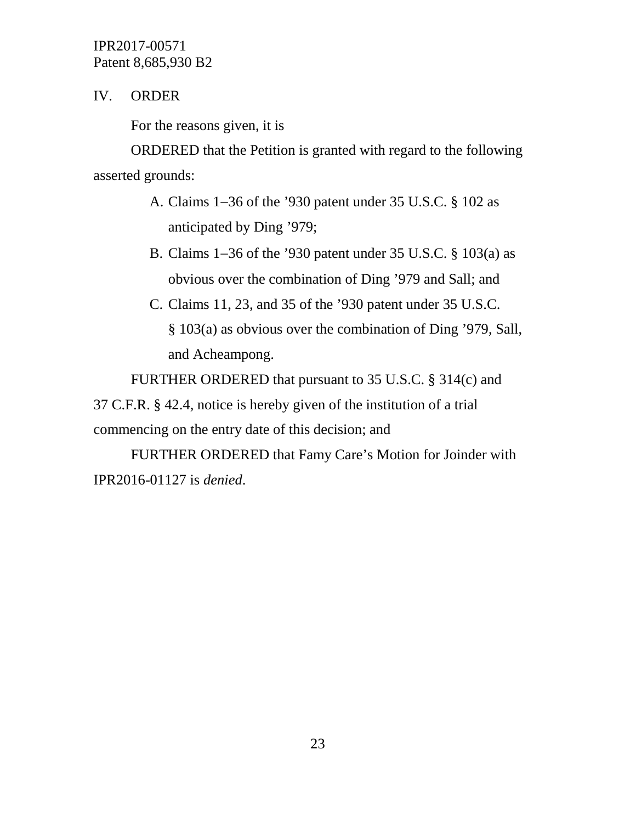# IV. ORDER

For the reasons given, it is

ORDERED that the Petition is granted with regard to the following asserted grounds:

- A. Claims 1−36 of the '930 patent under 35 U.S.C. § 102 as anticipated by Ding '979;
- B. Claims 1−36 of the '930 patent under 35 U.S.C. § 103(a) as obvious over the combination of Ding '979 and Sall; and
- C. Claims 11, 23, and 35 of the '930 patent under 35 U.S.C. § 103(a) as obvious over the combination of Ding '979, Sall, and Acheampong.

FURTHER ORDERED that pursuant to 35 U.S.C. § 314(c) and

37 C.F.R. § 42.4, notice is hereby given of the institution of a trial commencing on the entry date of this decision; and

FURTHER ORDERED that Famy Care's Motion for Joinder with IPR2016-01127 is *denied*.